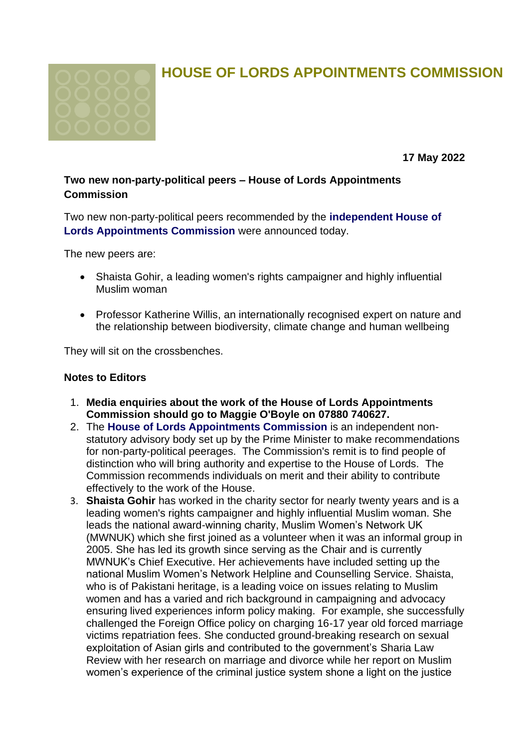

## **HOUSE OF LORDS APPOINTMENTS COMMISSION**

**17 May 2022**

## **Two new non-party-political peers – House of Lords Appointments Commission**

Two new non-party-political peers recommended by the **[independent House of](https://lordsappointments.independent.gov.uk/)  [Lords Appointments Commission](https://lordsappointments.independent.gov.uk/)** were announced today.

The new peers are:

- Shaista Gohir, a leading women's rights campaigner and highly influential Muslim woman
- Professor Katherine Willis, an internationally recognised expert on nature and the relationship between biodiversity, climate change and human wellbeing

They will sit on the crossbenches.

## **Notes to Editors**

- 1. **Media enquiries about the work of the House of Lords Appointments Commission should go to Maggie O'Boyle on 07880 740627.**
- 2. The **[House of Lords Appointments Commission](https://lordsappointments.independent.gov.uk/)** is an independent nonstatutory advisory body set up by the Prime Minister to make recommendations for non-party-political peerages. The Commission's remit is to find people of distinction who will bring authority and expertise to the House of Lords. The Commission recommends individuals on merit and their ability to contribute effectively to the work of the House.
- 3. **Shaista Gohir** has worked in the charity sector for nearly twenty years and is a leading women's rights campaigner and highly influential Muslim woman. She leads the national award-winning charity, Muslim Women's Network UK (MWNUK) which she first joined as a volunteer when it was an informal group in 2005. She has led its growth since serving as the Chair and is currently MWNUK's Chief Executive. Her achievements have included setting up the national Muslim Women's Network Helpline and Counselling Service. Shaista, who is of Pakistani heritage, is a leading voice on issues relating to Muslim women and has a varied and rich background in campaigning and advocacy ensuring lived experiences inform policy making. For example, she successfully challenged the Foreign Office policy on charging 16-17 year old forced marriage victims repatriation fees. She conducted ground-breaking research on sexual exploitation of Asian girls and contributed to the government's Sharia Law Review with her research on marriage and divorce while her report on Muslim women's experience of the criminal justice system shone a light on the justice